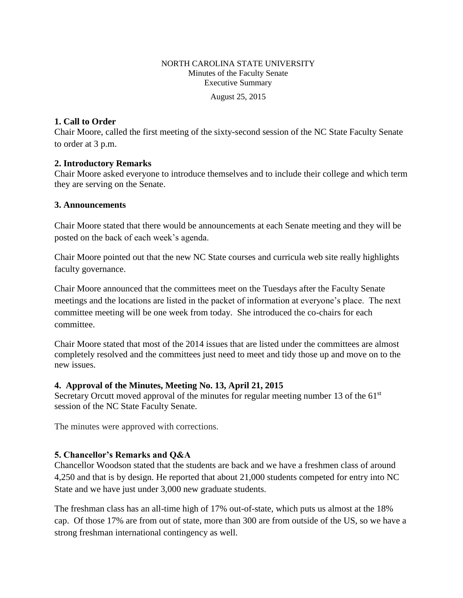## NORTH CAROLINA STATE UNIVERSITY Minutes of the Faculty Senate Executive Summary

August 25, 2015

### **1. Call to Order**

Chair Moore, called the first meeting of the sixty-second session of the NC State Faculty Senate to order at 3 p.m.

#### **2. Introductory Remarks**

Chair Moore asked everyone to introduce themselves and to include their college and which term they are serving on the Senate.

### **3. Announcements**

Chair Moore stated that there would be announcements at each Senate meeting and they will be posted on the back of each week's agenda.

Chair Moore pointed out that the new NC State courses and curricula web site really highlights faculty governance.

Chair Moore announced that the committees meet on the Tuesdays after the Faculty Senate meetings and the locations are listed in the packet of information at everyone's place. The next committee meeting will be one week from today. She introduced the co-chairs for each committee.

Chair Moore stated that most of the 2014 issues that are listed under the committees are almost completely resolved and the committees just need to meet and tidy those up and move on to the new issues.

### **4. Approval of the Minutes, Meeting No. 13, April 21, 2015**

Secretary Orcutt moved approval of the minutes for regular meeting number 13 of the  $61<sup>st</sup>$ session of the NC State Faculty Senate.

The minutes were approved with corrections.

### **5. Chancellor's Remarks and Q&A**

Chancellor Woodson stated that the students are back and we have a freshmen class of around 4,250 and that is by design. He reported that about 21,000 students competed for entry into NC State and we have just under 3,000 new graduate students.

The freshman class has an all-time high of 17% out-of-state, which puts us almost at the 18% cap. Of those 17% are from out of state, more than 300 are from outside of the US, so we have a strong freshman international contingency as well.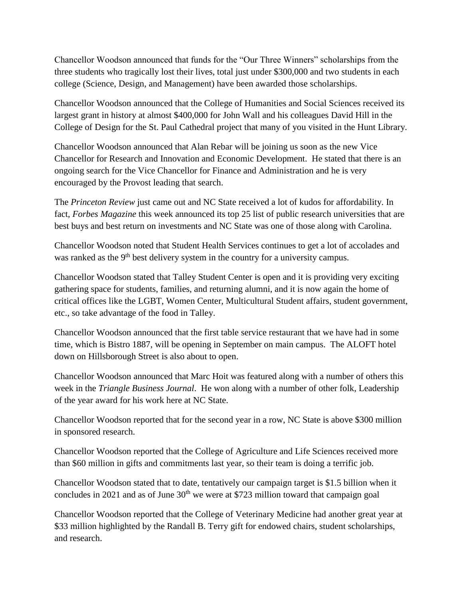Chancellor Woodson announced that funds for the "Our Three Winners" scholarships from the three students who tragically lost their lives, total just under \$300,000 and two students in each college (Science, Design, and Management) have been awarded those scholarships.

Chancellor Woodson announced that the College of Humanities and Social Sciences received its largest grant in history at almost \$400,000 for John Wall and his colleagues David Hill in the College of Design for the St. Paul Cathedral project that many of you visited in the Hunt Library.

Chancellor Woodson announced that Alan Rebar will be joining us soon as the new Vice Chancellor for Research and Innovation and Economic Development. He stated that there is an ongoing search for the Vice Chancellor for Finance and Administration and he is very encouraged by the Provost leading that search.

The *Princeton Review* just came out and NC State received a lot of kudos for affordability. In fact, *Forbes Magazine* this week announced its top 25 list of public research universities that are best buys and best return on investments and NC State was one of those along with Carolina.

Chancellor Woodson noted that Student Health Services continues to get a lot of accolades and was ranked as the 9<sup>th</sup> best delivery system in the country for a university campus.

Chancellor Woodson stated that Talley Student Center is open and it is providing very exciting gathering space for students, families, and returning alumni, and it is now again the home of critical offices like the LGBT, Women Center, Multicultural Student affairs, student government, etc., so take advantage of the food in Talley.

Chancellor Woodson announced that the first table service restaurant that we have had in some time, which is Bistro 1887, will be opening in September on main campus. The ALOFT hotel down on Hillsborough Street is also about to open.

Chancellor Woodson announced that Marc Hoit was featured along with a number of others this week in the *Triangle Business Journal*. He won along with a number of other folk, Leadership of the year award for his work here at NC State.

Chancellor Woodson reported that for the second year in a row, NC State is above \$300 million in sponsored research.

Chancellor Woodson reported that the College of Agriculture and Life Sciences received more than \$60 million in gifts and commitments last year, so their team is doing a terrific job.

Chancellor Woodson stated that to date, tentatively our campaign target is \$1.5 billion when it concludes in 2021 and as of June  $30<sup>th</sup>$  we were at \$723 million toward that campaign goal

Chancellor Woodson reported that the College of Veterinary Medicine had another great year at \$33 million highlighted by the Randall B. Terry gift for endowed chairs, student scholarships, and research.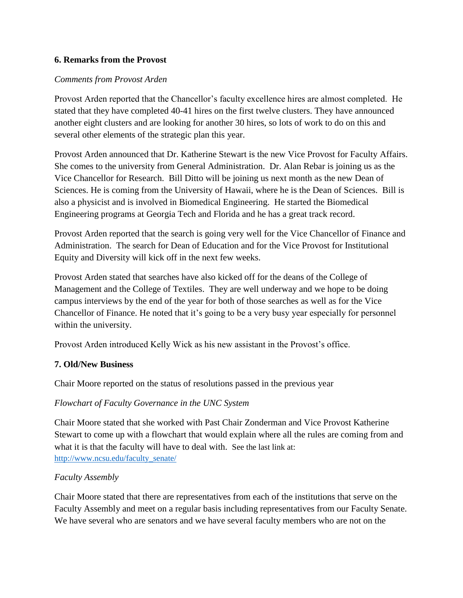### **6. Remarks from the Provost**

#### *Comments from Provost Arden*

Provost Arden reported that the Chancellor's faculty excellence hires are almost completed. He stated that they have completed 40-41 hires on the first twelve clusters. They have announced another eight clusters and are looking for another 30 hires, so lots of work to do on this and several other elements of the strategic plan this year.

Provost Arden announced that Dr. Katherine Stewart is the new Vice Provost for Faculty Affairs. She comes to the university from General Administration. Dr. Alan Rebar is joining us as the Vice Chancellor for Research. Bill Ditto will be joining us next month as the new Dean of Sciences. He is coming from the University of Hawaii, where he is the Dean of Sciences. Bill is also a physicist and is involved in Biomedical Engineering. He started the Biomedical Engineering programs at Georgia Tech and Florida and he has a great track record.

Provost Arden reported that the search is going very well for the Vice Chancellor of Finance and Administration. The search for Dean of Education and for the Vice Provost for Institutional Equity and Diversity will kick off in the next few weeks.

Provost Arden stated that searches have also kicked off for the deans of the College of Management and the College of Textiles. They are well underway and we hope to be doing campus interviews by the end of the year for both of those searches as well as for the Vice Chancellor of Finance. He noted that it's going to be a very busy year especially for personnel within the university.

Provost Arden introduced Kelly Wick as his new assistant in the Provost's office.

#### **7. Old/New Business**

Chair Moore reported on the status of resolutions passed in the previous year

### *Flowchart of Faculty Governance in the UNC System*

Chair Moore stated that she worked with Past Chair Zonderman and Vice Provost Katherine Stewart to come up with a flowchart that would explain where all the rules are coming from and what it is that the faculty will have to deal with. See the last link at: [http://www.ncsu.edu/faculty\\_senate/](http://www.ncsu.edu/faculty_senate/)

### *Faculty Assembly*

Chair Moore stated that there are representatives from each of the institutions that serve on the Faculty Assembly and meet on a regular basis including representatives from our Faculty Senate. We have several who are senators and we have several faculty members who are not on the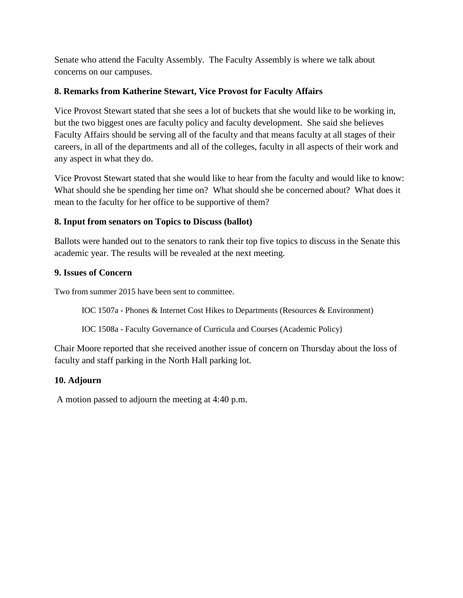Senate who attend the Faculty Assembly. The Faculty Assembly is where we talk about concerns on our campuses.

# **8. Remarks from Katherine Stewart, Vice Provost for Faculty Affairs**

Vice Provost Stewart stated that she sees a lot of buckets that she would like to be working in, but the two biggest ones are faculty policy and faculty development. She said she believes Faculty Affairs should be serving all of the faculty and that means faculty at all stages of their careers, in all of the departments and all of the colleges, faculty in all aspects of their work and any aspect in what they do.

Vice Provost Stewart stated that she would like to hear from the faculty and would like to know: What should she be spending her time on? What should she be concerned about? What does it mean to the faculty for her office to be supportive of them?

# **8. Input from senators on Topics to Discuss (ballot)**

Ballots were handed out to the senators to rank their top five topics to discuss in the Senate this academic year. The results will be revealed at the next meeting.

# **9. Issues of Concern**

Two from summer 2015 have been sent to committee.

IOC 1507a - Phones & Internet Cost Hikes to Departments (Resources & Environment)

IOC 1508a - Faculty Governance of Curricula and Courses (Academic Policy)

Chair Moore reported that she received another issue of concern on Thursday about the loss of faculty and staff parking in the North Hall parking lot.

### **10. Adjourn**

A motion passed to adjourn the meeting at 4:40 p.m.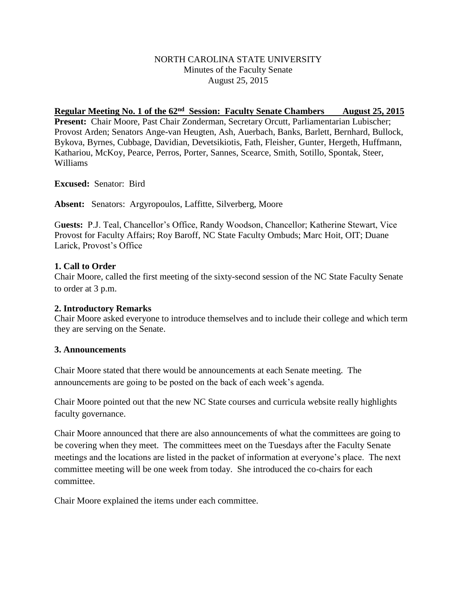### NORTH CAROLINA STATE UNIVERSITY Minutes of the Faculty Senate August 25, 2015

#### Regular Meeting No. 1 of the 62<sup>nd</sup> Session: Faculty Senate Chambers August 25, 2015

**Present:** Chair Moore, Past Chair Zonderman, Secretary Orcutt, Parliamentarian Lubischer; Provost Arden; Senators Ange-van Heugten, Ash, Auerbach, Banks, Barlett, Bernhard, Bullock, Bykova, Byrnes, Cubbage, Davidian, Devetsikiotis, Fath, Fleisher, Gunter, Hergeth, Huffmann, Kathariou, McKoy, Pearce, Perros, Porter, Sannes, Scearce, Smith, Sotillo, Spontak, Steer, Williams

**Excused:** Senator: Bird

**Absent:** Senators: Argyropoulos, Laffitte, Silverberg, Moore

G**uests:** P.J. Teal, Chancellor's Office, Randy Woodson, Chancellor; Katherine Stewart, Vice Provost for Faculty Affairs; Roy Baroff, NC State Faculty Ombuds; Marc Hoit, OIT; Duane Larick, Provost's Office

#### **1. Call to Order**

Chair Moore, called the first meeting of the sixty-second session of the NC State Faculty Senate to order at 3 p.m.

#### **2. Introductory Remarks**

Chair Moore asked everyone to introduce themselves and to include their college and which term they are serving on the Senate.

#### **3. Announcements**

Chair Moore stated that there would be announcements at each Senate meeting. The announcements are going to be posted on the back of each week's agenda.

Chair Moore pointed out that the new NC State courses and curricula website really highlights faculty governance.

Chair Moore announced that there are also announcements of what the committees are going to be covering when they meet. The committees meet on the Tuesdays after the Faculty Senate meetings and the locations are listed in the packet of information at everyone's place. The next committee meeting will be one week from today. She introduced the co-chairs for each committee.

Chair Moore explained the items under each committee.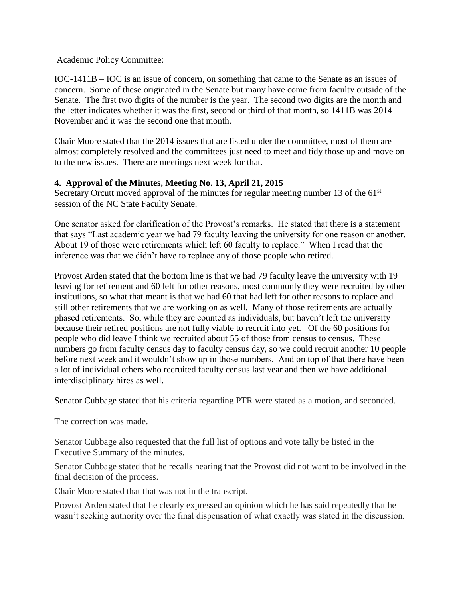Academic Policy Committee:

IOC-1411B – IOC is an issue of concern, on something that came to the Senate as an issues of concern. Some of these originated in the Senate but many have come from faculty outside of the Senate. The first two digits of the number is the year. The second two digits are the month and the letter indicates whether it was the first, second or third of that month, so 1411B was 2014 November and it was the second one that month.

Chair Moore stated that the 2014 issues that are listed under the committee, most of them are almost completely resolved and the committees just need to meet and tidy those up and move on to the new issues. There are meetings next week for that.

### **4. Approval of the Minutes, Meeting No. 13, April 21, 2015**

Secretary Orcutt moved approval of the minutes for regular meeting number 13 of the  $61<sup>st</sup>$ session of the NC State Faculty Senate.

One senator asked for clarification of the Provost's remarks. He stated that there is a statement that says "Last academic year we had 79 faculty leaving the university for one reason or another. About 19 of those were retirements which left 60 faculty to replace." When I read that the inference was that we didn't have to replace any of those people who retired.

Provost Arden stated that the bottom line is that we had 79 faculty leave the university with 19 leaving for retirement and 60 left for other reasons, most commonly they were recruited by other institutions, so what that meant is that we had 60 that had left for other reasons to replace and still other retirements that we are working on as well. Many of those retirements are actually phased retirements. So, while they are counted as individuals, but haven't left the university because their retired positions are not fully viable to recruit into yet. Of the 60 positions for people who did leave I think we recruited about 55 of those from census to census. These numbers go from faculty census day to faculty census day, so we could recruit another 10 people before next week and it wouldn't show up in those numbers. And on top of that there have been a lot of individual others who recruited faculty census last year and then we have additional interdisciplinary hires as well.

Senator Cubbage stated that his criteria regarding PTR were stated as a motion, and seconded.

The correction was made.

Senator Cubbage also requested that the full list of options and vote tally be listed in the Executive Summary of the minutes.

Senator Cubbage stated that he recalls hearing that the Provost did not want to be involved in the final decision of the process.

Chair Moore stated that that was not in the transcript.

Provost Arden stated that he clearly expressed an opinion which he has said repeatedly that he wasn't seeking authority over the final dispensation of what exactly was stated in the discussion.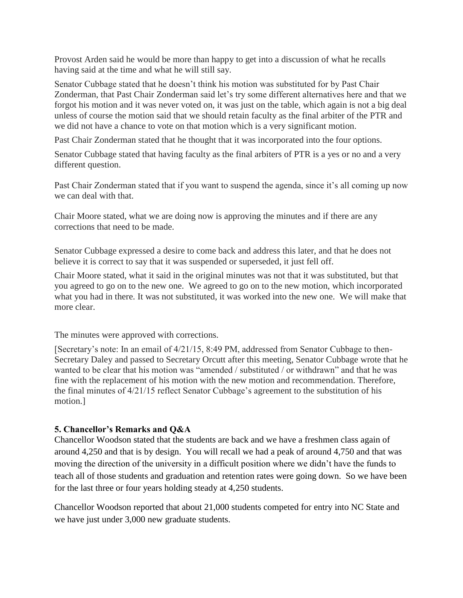Provost Arden said he would be more than happy to get into a discussion of what he recalls having said at the time and what he will still say.

Senator Cubbage stated that he doesn't think his motion was substituted for by Past Chair Zonderman, that Past Chair Zonderman said let's try some different alternatives here and that we forgot his motion and it was never voted on, it was just on the table, which again is not a big deal unless of course the motion said that we should retain faculty as the final arbiter of the PTR and we did not have a chance to vote on that motion which is a very significant motion.

Past Chair Zonderman stated that he thought that it was incorporated into the four options.

Senator Cubbage stated that having faculty as the final arbiters of PTR is a yes or no and a very different question.

Past Chair Zonderman stated that if you want to suspend the agenda, since it's all coming up now we can deal with that.

Chair Moore stated, what we are doing now is approving the minutes and if there are any corrections that need to be made.

Senator Cubbage expressed a desire to come back and address this later, and that he does not believe it is correct to say that it was suspended or superseded, it just fell off.

Chair Moore stated, what it said in the original minutes was not that it was substituted, but that you agreed to go on to the new one. We agreed to go on to the new motion, which incorporated what you had in there. It was not substituted, it was worked into the new one. We will make that more clear.

The minutes were approved with corrections.

[Secretary's note: In an email of 4/21/15, 8:49 PM, addressed from Senator Cubbage to then-Secretary Daley and passed to Secretary Orcutt after this meeting, Senator Cubbage wrote that he wanted to be clear that his motion was "amended / substituted / or withdrawn" and that he was fine with the replacement of his motion with the new motion and recommendation. Therefore, the final minutes of 4/21/15 reflect Senator Cubbage's agreement to the substitution of his motion.]

### **5. Chancellor's Remarks and Q&A**

Chancellor Woodson stated that the students are back and we have a freshmen class again of around 4,250 and that is by design. You will recall we had a peak of around 4,750 and that was moving the direction of the university in a difficult position where we didn't have the funds to teach all of those students and graduation and retention rates were going down. So we have been for the last three or four years holding steady at 4,250 students.

Chancellor Woodson reported that about 21,000 students competed for entry into NC State and we have just under 3,000 new graduate students.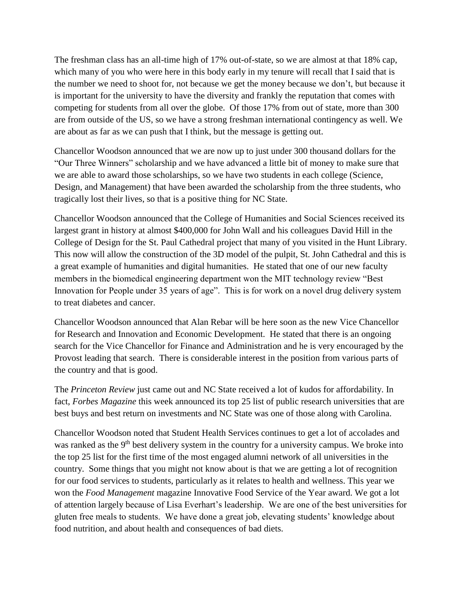The freshman class has an all-time high of 17% out-of-state, so we are almost at that 18% cap, which many of you who were here in this body early in my tenure will recall that I said that is the number we need to shoot for, not because we get the money because we don't, but because it is important for the university to have the diversity and frankly the reputation that comes with competing for students from all over the globe. Of those 17% from out of state, more than 300 are from outside of the US, so we have a strong freshman international contingency as well. We are about as far as we can push that I think, but the message is getting out.

Chancellor Woodson announced that we are now up to just under 300 thousand dollars for the "Our Three Winners" scholarship and we have advanced a little bit of money to make sure that we are able to award those scholarships, so we have two students in each college (Science, Design, and Management) that have been awarded the scholarship from the three students, who tragically lost their lives, so that is a positive thing for NC State.

Chancellor Woodson announced that the College of Humanities and Social Sciences received its largest grant in history at almost \$400,000 for John Wall and his colleagues David Hill in the College of Design for the St. Paul Cathedral project that many of you visited in the Hunt Library. This now will allow the construction of the 3D model of the pulpit, St. John Cathedral and this is a great example of humanities and digital humanities. He stated that one of our new faculty members in the biomedical engineering department won the MIT technology review "Best Innovation for People under 35 years of age". This is for work on a novel drug delivery system to treat diabetes and cancer.

Chancellor Woodson announced that Alan Rebar will be here soon as the new Vice Chancellor for Research and Innovation and Economic Development. He stated that there is an ongoing search for the Vice Chancellor for Finance and Administration and he is very encouraged by the Provost leading that search. There is considerable interest in the position from various parts of the country and that is good.

The *Princeton Review* just came out and NC State received a lot of kudos for affordability. In fact, *Forbes Magazine* this week announced its top 25 list of public research universities that are best buys and best return on investments and NC State was one of those along with Carolina.

Chancellor Woodson noted that Student Health Services continues to get a lot of accolades and was ranked as the 9<sup>th</sup> best delivery system in the country for a university campus. We broke into the top 25 list for the first time of the most engaged alumni network of all universities in the country. Some things that you might not know about is that we are getting a lot of recognition for our food services to students, particularly as it relates to health and wellness. This year we won the *Food Management* magazine Innovative Food Service of the Year award. We got a lot of attention largely because of Lisa Everhart's leadership. We are one of the best universities for gluten free meals to students. We have done a great job, elevating students' knowledge about food nutrition, and about health and consequences of bad diets.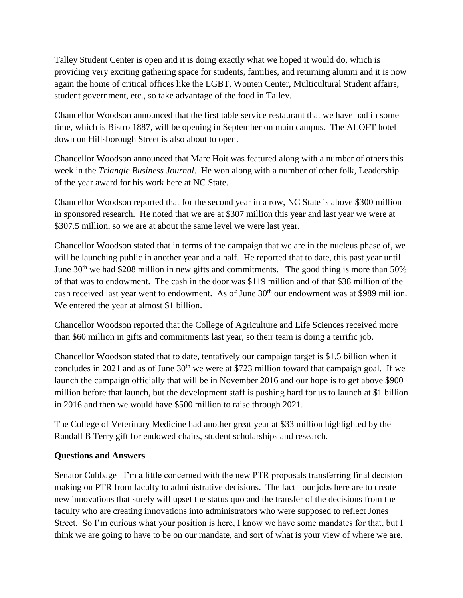Talley Student Center is open and it is doing exactly what we hoped it would do, which is providing very exciting gathering space for students, families, and returning alumni and it is now again the home of critical offices like the LGBT, Women Center, Multicultural Student affairs, student government, etc., so take advantage of the food in Talley.

Chancellor Woodson announced that the first table service restaurant that we have had in some time, which is Bistro 1887, will be opening in September on main campus. The ALOFT hotel down on Hillsborough Street is also about to open.

Chancellor Woodson announced that Marc Hoit was featured along with a number of others this week in the *Triangle Business Journal*. He won along with a number of other folk, Leadership of the year award for his work here at NC State.

Chancellor Woodson reported that for the second year in a row, NC State is above \$300 million in sponsored research. He noted that we are at \$307 million this year and last year we were at \$307.5 million, so we are at about the same level we were last year.

Chancellor Woodson stated that in terms of the campaign that we are in the nucleus phase of, we will be launching public in another year and a half. He reported that to date, this past year until June  $30<sup>th</sup>$  we had \$208 million in new gifts and commitments. The good thing is more than 50% of that was to endowment. The cash in the door was \$119 million and of that \$38 million of the cash received last year went to endowment. As of June 30<sup>th</sup> our endowment was at \$989 million. We entered the year at almost \$1 billion.

Chancellor Woodson reported that the College of Agriculture and Life Sciences received more than \$60 million in gifts and commitments last year, so their team is doing a terrific job.

Chancellor Woodson stated that to date, tentatively our campaign target is \$1.5 billion when it concludes in 2021 and as of June  $30<sup>th</sup>$  we were at \$723 million toward that campaign goal. If we launch the campaign officially that will be in November 2016 and our hope is to get above \$900 million before that launch, but the development staff is pushing hard for us to launch at \$1 billion in 2016 and then we would have \$500 million to raise through 2021.

The College of Veterinary Medicine had another great year at \$33 million highlighted by the Randall B Terry gift for endowed chairs, student scholarships and research.

### **Questions and Answers**

Senator Cubbage –I'm a little concerned with the new PTR proposals transferring final decision making on PTR from faculty to administrative decisions. The fact –our jobs here are to create new innovations that surely will upset the status quo and the transfer of the decisions from the faculty who are creating innovations into administrators who were supposed to reflect Jones Street. So I'm curious what your position is here, I know we have some mandates for that, but I think we are going to have to be on our mandate, and sort of what is your view of where we are.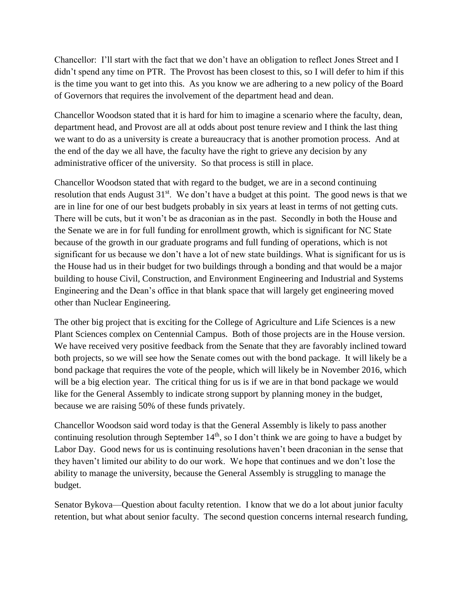Chancellor: I'll start with the fact that we don't have an obligation to reflect Jones Street and I didn't spend any time on PTR. The Provost has been closest to this, so I will defer to him if this is the time you want to get into this. As you know we are adhering to a new policy of the Board of Governors that requires the involvement of the department head and dean.

Chancellor Woodson stated that it is hard for him to imagine a scenario where the faculty, dean, department head, and Provost are all at odds about post tenure review and I think the last thing we want to do as a university is create a bureaucracy that is another promotion process. And at the end of the day we all have, the faculty have the right to grieve any decision by any administrative officer of the university. So that process is still in place.

Chancellor Woodson stated that with regard to the budget, we are in a second continuing resolution that ends August 31<sup>st</sup>. We don't have a budget at this point. The good news is that we are in line for one of our best budgets probably in six years at least in terms of not getting cuts. There will be cuts, but it won't be as draconian as in the past. Secondly in both the House and the Senate we are in for full funding for enrollment growth, which is significant for NC State because of the growth in our graduate programs and full funding of operations, which is not significant for us because we don't have a lot of new state buildings. What is significant for us is the House had us in their budget for two buildings through a bonding and that would be a major building to house Civil, Construction, and Environment Engineering and Industrial and Systems Engineering and the Dean's office in that blank space that will largely get engineering moved other than Nuclear Engineering.

The other big project that is exciting for the College of Agriculture and Life Sciences is a new Plant Sciences complex on Centennial Campus. Both of those projects are in the House version. We have received very positive feedback from the Senate that they are favorably inclined toward both projects, so we will see how the Senate comes out with the bond package. It will likely be a bond package that requires the vote of the people, which will likely be in November 2016, which will be a big election year. The critical thing for us is if we are in that bond package we would like for the General Assembly to indicate strong support by planning money in the budget, because we are raising 50% of these funds privately.

Chancellor Woodson said word today is that the General Assembly is likely to pass another continuing resolution through September  $14<sup>th</sup>$ , so I don't think we are going to have a budget by Labor Day. Good news for us is continuing resolutions haven't been draconian in the sense that they haven't limited our ability to do our work. We hope that continues and we don't lose the ability to manage the university, because the General Assembly is struggling to manage the budget.

Senator Bykova—Question about faculty retention. I know that we do a lot about junior faculty retention, but what about senior faculty. The second question concerns internal research funding,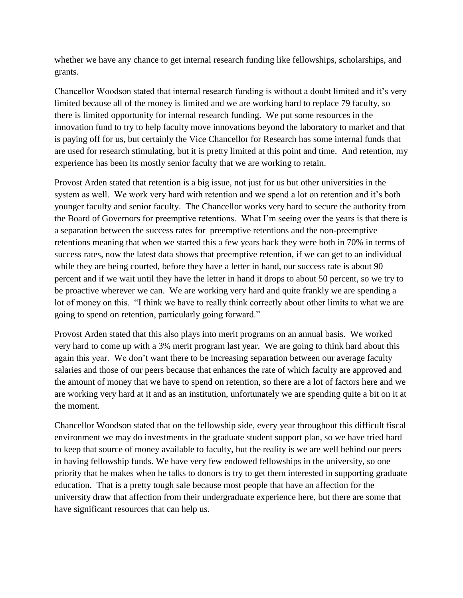whether we have any chance to get internal research funding like fellowships, scholarships, and grants.

Chancellor Woodson stated that internal research funding is without a doubt limited and it's very limited because all of the money is limited and we are working hard to replace 79 faculty, so there is limited opportunity for internal research funding. We put some resources in the innovation fund to try to help faculty move innovations beyond the laboratory to market and that is paying off for us, but certainly the Vice Chancellor for Research has some internal funds that are used for research stimulating, but it is pretty limited at this point and time. And retention, my experience has been its mostly senior faculty that we are working to retain.

Provost Arden stated that retention is a big issue, not just for us but other universities in the system as well. We work very hard with retention and we spend a lot on retention and it's both younger faculty and senior faculty. The Chancellor works very hard to secure the authority from the Board of Governors for preemptive retentions. What I'm seeing over the years is that there is a separation between the success rates for preemptive retentions and the non-preemptive retentions meaning that when we started this a few years back they were both in 70% in terms of success rates, now the latest data shows that preemptive retention, if we can get to an individual while they are being courted, before they have a letter in hand, our success rate is about 90 percent and if we wait until they have the letter in hand it drops to about 50 percent, so we try to be proactive wherever we can. We are working very hard and quite frankly we are spending a lot of money on this. "I think we have to really think correctly about other limits to what we are going to spend on retention, particularly going forward."

Provost Arden stated that this also plays into merit programs on an annual basis. We worked very hard to come up with a 3% merit program last year. We are going to think hard about this again this year. We don't want there to be increasing separation between our average faculty salaries and those of our peers because that enhances the rate of which faculty are approved and the amount of money that we have to spend on retention, so there are a lot of factors here and we are working very hard at it and as an institution, unfortunately we are spending quite a bit on it at the moment.

Chancellor Woodson stated that on the fellowship side, every year throughout this difficult fiscal environment we may do investments in the graduate student support plan, so we have tried hard to keep that source of money available to faculty, but the reality is we are well behind our peers in having fellowship funds. We have very few endowed fellowships in the university, so one priority that he makes when he talks to donors is try to get them interested in supporting graduate education. That is a pretty tough sale because most people that have an affection for the university draw that affection from their undergraduate experience here, but there are some that have significant resources that can help us.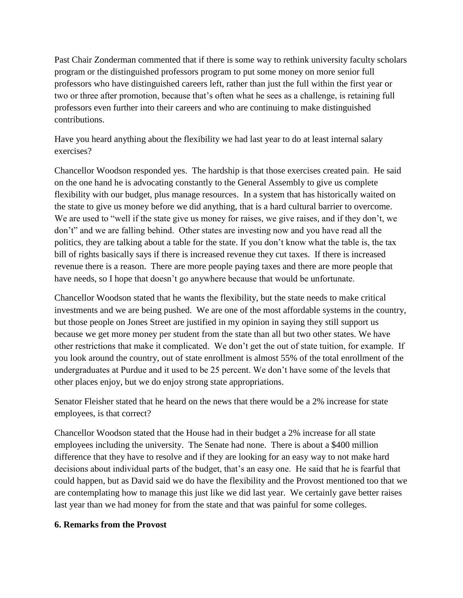Past Chair Zonderman commented that if there is some way to rethink university faculty scholars program or the distinguished professors program to put some money on more senior full professors who have distinguished careers left, rather than just the full within the first year or two or three after promotion, because that's often what he sees as a challenge, is retaining full professors even further into their careers and who are continuing to make distinguished contributions.

Have you heard anything about the flexibility we had last year to do at least internal salary exercises?

Chancellor Woodson responded yes. The hardship is that those exercises created pain. He said on the one hand he is advocating constantly to the General Assembly to give us complete flexibility with our budget, plus manage resources. In a system that has historically waited on the state to give us money before we did anything, that is a hard cultural barrier to overcome. We are used to "well if the state give us money for raises, we give raises, and if they don't, we don't" and we are falling behind. Other states are investing now and you have read all the politics, they are talking about a table for the state. If you don't know what the table is, the tax bill of rights basically says if there is increased revenue they cut taxes. If there is increased revenue there is a reason. There are more people paying taxes and there are more people that have needs, so I hope that doesn't go anywhere because that would be unfortunate.

Chancellor Woodson stated that he wants the flexibility, but the state needs to make critical investments and we are being pushed. We are one of the most affordable systems in the country, but those people on Jones Street are justified in my opinion in saying they still support us because we get more money per student from the state than all but two other states. We have other restrictions that make it complicated. We don't get the out of state tuition, for example. If you look around the country, out of state enrollment is almost 55% of the total enrollment of the undergraduates at Purdue and it used to be 25 percent. We don't have some of the levels that other places enjoy, but we do enjoy strong state appropriations.

Senator Fleisher stated that he heard on the news that there would be a 2% increase for state employees, is that correct?

Chancellor Woodson stated that the House had in their budget a 2% increase for all state employees including the university. The Senate had none. There is about a \$400 million difference that they have to resolve and if they are looking for an easy way to not make hard decisions about individual parts of the budget, that's an easy one. He said that he is fearful that could happen, but as David said we do have the flexibility and the Provost mentioned too that we are contemplating how to manage this just like we did last year. We certainly gave better raises last year than we had money for from the state and that was painful for some colleges.

#### **6. Remarks from the Provost**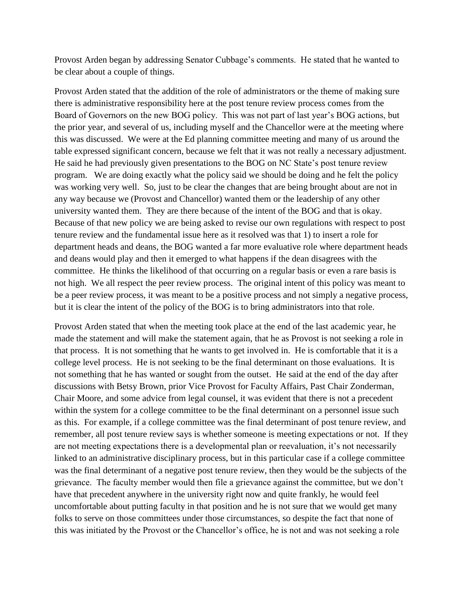Provost Arden began by addressing Senator Cubbage's comments. He stated that he wanted to be clear about a couple of things.

Provost Arden stated that the addition of the role of administrators or the theme of making sure there is administrative responsibility here at the post tenure review process comes from the Board of Governors on the new BOG policy. This was not part of last year's BOG actions, but the prior year, and several of us, including myself and the Chancellor were at the meeting where this was discussed. We were at the Ed planning committee meeting and many of us around the table expressed significant concern, because we felt that it was not really a necessary adjustment. He said he had previously given presentations to the BOG on NC State's post tenure review program. We are doing exactly what the policy said we should be doing and he felt the policy was working very well. So, just to be clear the changes that are being brought about are not in any way because we (Provost and Chancellor) wanted them or the leadership of any other university wanted them. They are there because of the intent of the BOG and that is okay. Because of that new policy we are being asked to revise our own regulations with respect to post tenure review and the fundamental issue here as it resolved was that 1) to insert a role for department heads and deans, the BOG wanted a far more evaluative role where department heads and deans would play and then it emerged to what happens if the dean disagrees with the committee. He thinks the likelihood of that occurring on a regular basis or even a rare basis is not high. We all respect the peer review process. The original intent of this policy was meant to be a peer review process, it was meant to be a positive process and not simply a negative process, but it is clear the intent of the policy of the BOG is to bring administrators into that role.

Provost Arden stated that when the meeting took place at the end of the last academic year, he made the statement and will make the statement again, that he as Provost is not seeking a role in that process. It is not something that he wants to get involved in. He is comfortable that it is a college level process. He is not seeking to be the final determinant on those evaluations. It is not something that he has wanted or sought from the outset. He said at the end of the day after discussions with Betsy Brown, prior Vice Provost for Faculty Affairs, Past Chair Zonderman, Chair Moore, and some advice from legal counsel, it was evident that there is not a precedent within the system for a college committee to be the final determinant on a personnel issue such as this. For example, if a college committee was the final determinant of post tenure review, and remember, all post tenure review says is whether someone is meeting expectations or not. If they are not meeting expectations there is a developmental plan or reevaluation, it's not necessarily linked to an administrative disciplinary process, but in this particular case if a college committee was the final determinant of a negative post tenure review, then they would be the subjects of the grievance. The faculty member would then file a grievance against the committee, but we don't have that precedent anywhere in the university right now and quite frankly, he would feel uncomfortable about putting faculty in that position and he is not sure that we would get many folks to serve on those committees under those circumstances, so despite the fact that none of this was initiated by the Provost or the Chancellor's office, he is not and was not seeking a role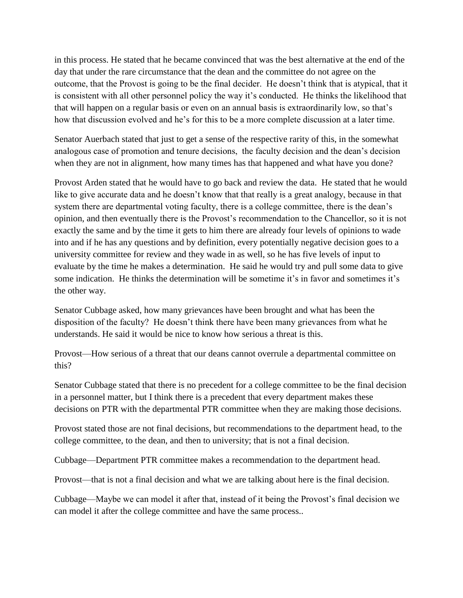in this process. He stated that he became convinced that was the best alternative at the end of the day that under the rare circumstance that the dean and the committee do not agree on the outcome, that the Provost is going to be the final decider. He doesn't think that is atypical, that it is consistent with all other personnel policy the way it's conducted. He thinks the likelihood that that will happen on a regular basis or even on an annual basis is extraordinarily low, so that's how that discussion evolved and he's for this to be a more complete discussion at a later time.

Senator Auerbach stated that just to get a sense of the respective rarity of this, in the somewhat analogous case of promotion and tenure decisions, the faculty decision and the dean's decision when they are not in alignment, how many times has that happened and what have you done?

Provost Arden stated that he would have to go back and review the data. He stated that he would like to give accurate data and he doesn't know that that really is a great analogy, because in that system there are departmental voting faculty, there is a college committee, there is the dean's opinion, and then eventually there is the Provost's recommendation to the Chancellor, so it is not exactly the same and by the time it gets to him there are already four levels of opinions to wade into and if he has any questions and by definition, every potentially negative decision goes to a university committee for review and they wade in as well, so he has five levels of input to evaluate by the time he makes a determination. He said he would try and pull some data to give some indication. He thinks the determination will be sometime it's in favor and sometimes it's the other way.

Senator Cubbage asked, how many grievances have been brought and what has been the disposition of the faculty? He doesn't think there have been many grievances from what he understands. He said it would be nice to know how serious a threat is this.

Provost—How serious of a threat that our deans cannot overrule a departmental committee on this?

Senator Cubbage stated that there is no precedent for a college committee to be the final decision in a personnel matter, but I think there is a precedent that every department makes these decisions on PTR with the departmental PTR committee when they are making those decisions.

Provost stated those are not final decisions, but recommendations to the department head, to the college committee, to the dean, and then to university; that is not a final decision.

Cubbage—Department PTR committee makes a recommendation to the department head.

Provost—that is not a final decision and what we are talking about here is the final decision.

Cubbage—Maybe we can model it after that, instead of it being the Provost's final decision we can model it after the college committee and have the same process..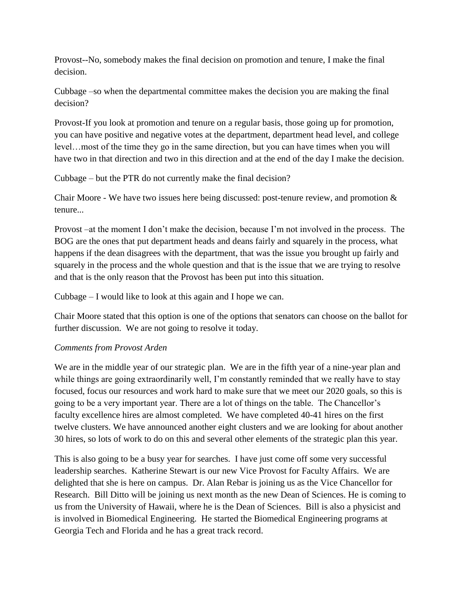Provost--No, somebody makes the final decision on promotion and tenure, I make the final decision.

Cubbage –so when the departmental committee makes the decision you are making the final decision?

Provost-If you look at promotion and tenure on a regular basis, those going up for promotion, you can have positive and negative votes at the department, department head level, and college level…most of the time they go in the same direction, but you can have times when you will have two in that direction and two in this direction and at the end of the day I make the decision.

Cubbage – but the PTR do not currently make the final decision?

Chair Moore - We have two issues here being discussed: post-tenure review, and promotion & tenure...

Provost –at the moment I don't make the decision, because I'm not involved in the process. The BOG are the ones that put department heads and deans fairly and squarely in the process, what happens if the dean disagrees with the department, that was the issue you brought up fairly and squarely in the process and the whole question and that is the issue that we are trying to resolve and that is the only reason that the Provost has been put into this situation.

Cubbage – I would like to look at this again and I hope we can.

Chair Moore stated that this option is one of the options that senators can choose on the ballot for further discussion. We are not going to resolve it today.

### *Comments from Provost Arden*

We are in the middle year of our strategic plan. We are in the fifth year of a nine-year plan and while things are going extraordinarily well, I'm constantly reminded that we really have to stay focused, focus our resources and work hard to make sure that we meet our 2020 goals, so this is going to be a very important year. There are a lot of things on the table. The Chancellor's faculty excellence hires are almost completed. We have completed 40-41 hires on the first twelve clusters. We have announced another eight clusters and we are looking for about another 30 hires, so lots of work to do on this and several other elements of the strategic plan this year.

This is also going to be a busy year for searches. I have just come off some very successful leadership searches. Katherine Stewart is our new Vice Provost for Faculty Affairs. We are delighted that she is here on campus. Dr. Alan Rebar is joining us as the Vice Chancellor for Research. Bill Ditto will be joining us next month as the new Dean of Sciences. He is coming to us from the University of Hawaii, where he is the Dean of Sciences. Bill is also a physicist and is involved in Biomedical Engineering. He started the Biomedical Engineering programs at Georgia Tech and Florida and he has a great track record.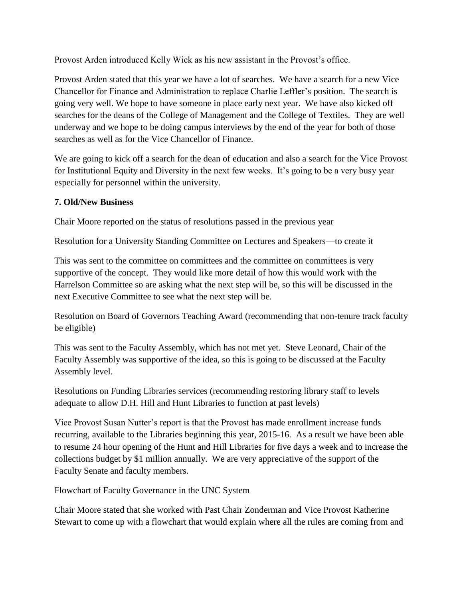Provost Arden introduced Kelly Wick as his new assistant in the Provost's office.

Provost Arden stated that this year we have a lot of searches. We have a search for a new Vice Chancellor for Finance and Administration to replace Charlie Leffler's position. The search is going very well. We hope to have someone in place early next year. We have also kicked off searches for the deans of the College of Management and the College of Textiles. They are well underway and we hope to be doing campus interviews by the end of the year for both of those searches as well as for the Vice Chancellor of Finance.

We are going to kick off a search for the dean of education and also a search for the Vice Provost for Institutional Equity and Diversity in the next few weeks. It's going to be a very busy year especially for personnel within the university.

# **7. Old/New Business**

Chair Moore reported on the status of resolutions passed in the previous year

Resolution for a University Standing Committee on Lectures and Speakers—to create it

This was sent to the committee on committees and the committee on committees is very supportive of the concept. They would like more detail of how this would work with the Harrelson Committee so are asking what the next step will be, so this will be discussed in the next Executive Committee to see what the next step will be.

Resolution on Board of Governors Teaching Award (recommending that non-tenure track faculty be eligible)

This was sent to the Faculty Assembly, which has not met yet. Steve Leonard, Chair of the Faculty Assembly was supportive of the idea, so this is going to be discussed at the Faculty Assembly level.

Resolutions on Funding Libraries services (recommending restoring library staff to levels adequate to allow D.H. Hill and Hunt Libraries to function at past levels)

Vice Provost Susan Nutter's report is that the Provost has made enrollment increase funds recurring, available to the Libraries beginning this year, 2015-16. As a result we have been able to resume 24 hour opening of the Hunt and Hill Libraries for five days a week and to increase the collections budget by \$1 million annually. We are very appreciative of the support of the Faculty Senate and faculty members.

Flowchart of Faculty Governance in the UNC System

Chair Moore stated that she worked with Past Chair Zonderman and Vice Provost Katherine Stewart to come up with a flowchart that would explain where all the rules are coming from and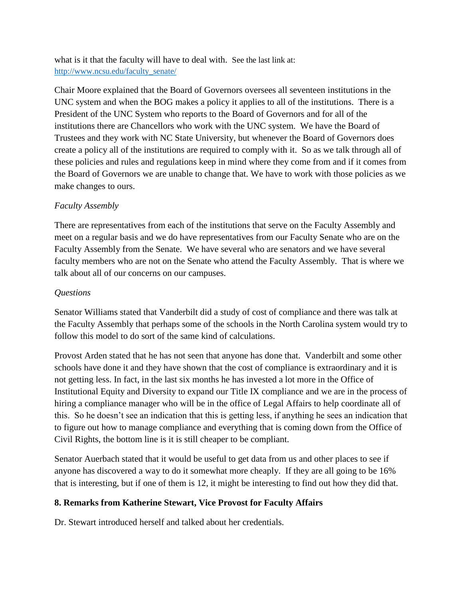what is it that the faculty will have to deal with. See the last link at: [http://www.ncsu.edu/faculty\\_senate/](http://www.ncsu.edu/faculty_senate/)

Chair Moore explained that the Board of Governors oversees all seventeen institutions in the UNC system and when the BOG makes a policy it applies to all of the institutions. There is a President of the UNC System who reports to the Board of Governors and for all of the institutions there are Chancellors who work with the UNC system. We have the Board of Trustees and they work with NC State University, but whenever the Board of Governors does create a policy all of the institutions are required to comply with it. So as we talk through all of these policies and rules and regulations keep in mind where they come from and if it comes from the Board of Governors we are unable to change that. We have to work with those policies as we make changes to ours.

# *Faculty Assembly*

There are representatives from each of the institutions that serve on the Faculty Assembly and meet on a regular basis and we do have representatives from our Faculty Senate who are on the Faculty Assembly from the Senate. We have several who are senators and we have several faculty members who are not on the Senate who attend the Faculty Assembly. That is where we talk about all of our concerns on our campuses.

### *Questions*

Senator Williams stated that Vanderbilt did a study of cost of compliance and there was talk at the Faculty Assembly that perhaps some of the schools in the North Carolina system would try to follow this model to do sort of the same kind of calculations.

Provost Arden stated that he has not seen that anyone has done that. Vanderbilt and some other schools have done it and they have shown that the cost of compliance is extraordinary and it is not getting less. In fact, in the last six months he has invested a lot more in the Office of Institutional Equity and Diversity to expand our Title IX compliance and we are in the process of hiring a compliance manager who will be in the office of Legal Affairs to help coordinate all of this. So he doesn't see an indication that this is getting less, if anything he sees an indication that to figure out how to manage compliance and everything that is coming down from the Office of Civil Rights, the bottom line is it is still cheaper to be compliant.

Senator Auerbach stated that it would be useful to get data from us and other places to see if anyone has discovered a way to do it somewhat more cheaply. If they are all going to be 16% that is interesting, but if one of them is 12, it might be interesting to find out how they did that.

### **8. Remarks from Katherine Stewart, Vice Provost for Faculty Affairs**

Dr. Stewart introduced herself and talked about her credentials.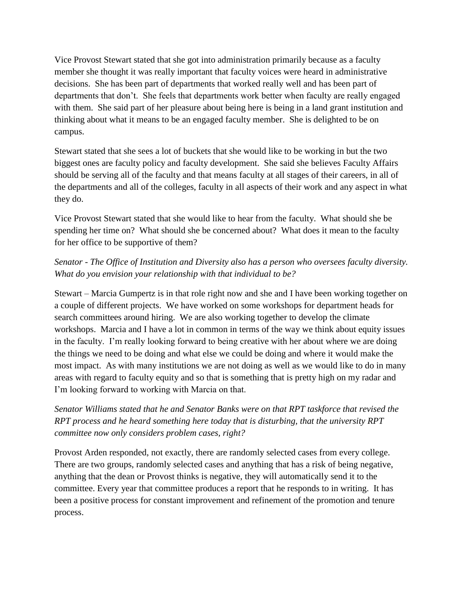Vice Provost Stewart stated that she got into administration primarily because as a faculty member she thought it was really important that faculty voices were heard in administrative decisions. She has been part of departments that worked really well and has been part of departments that don't. She feels that departments work better when faculty are really engaged with them. She said part of her pleasure about being here is being in a land grant institution and thinking about what it means to be an engaged faculty member. She is delighted to be on campus.

Stewart stated that she sees a lot of buckets that she would like to be working in but the two biggest ones are faculty policy and faculty development. She said she believes Faculty Affairs should be serving all of the faculty and that means faculty at all stages of their careers, in all of the departments and all of the colleges, faculty in all aspects of their work and any aspect in what they do.

Vice Provost Stewart stated that she would like to hear from the faculty. What should she be spending her time on? What should she be concerned about? What does it mean to the faculty for her office to be supportive of them?

# *Senator - The Office of Institution and Diversity also has a person who oversees faculty diversity. What do you envision your relationship with that individual to be?*

Stewart – Marcia Gumpertz is in that role right now and she and I have been working together on a couple of different projects. We have worked on some workshops for department heads for search committees around hiring. We are also working together to develop the climate workshops. Marcia and I have a lot in common in terms of the way we think about equity issues in the faculty. I'm really looking forward to being creative with her about where we are doing the things we need to be doing and what else we could be doing and where it would make the most impact. As with many institutions we are not doing as well as we would like to do in many areas with regard to faculty equity and so that is something that is pretty high on my radar and I'm looking forward to working with Marcia on that.

*Senator Williams stated that he and Senator Banks were on that RPT taskforce that revised the RPT process and he heard something here today that is disturbing, that the university RPT committee now only considers problem cases, right?*

Provost Arden responded, not exactly, there are randomly selected cases from every college. There are two groups, randomly selected cases and anything that has a risk of being negative, anything that the dean or Provost thinks is negative, they will automatically send it to the committee. Every year that committee produces a report that he responds to in writing. It has been a positive process for constant improvement and refinement of the promotion and tenure process.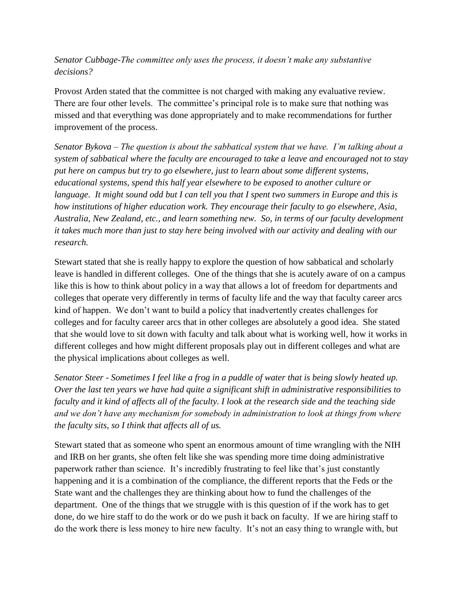*Senator Cubbage-The committee only uses the process, it doesn't make any substantive decisions?* 

Provost Arden stated that the committee is not charged with making any evaluative review. There are four other levels. The committee's principal role is to make sure that nothing was missed and that everything was done appropriately and to make recommendations for further improvement of the process.

*Senator Bykova – The question is about the sabbatical system that we have. I'm talking about a system of sabbatical where the faculty are encouraged to take a leave and encouraged not to stay put here on campus but try to go elsewhere, just to learn about some different systems, educational systems, spend this half year elsewhere to be exposed to another culture or language. It might sound odd but I can tell you that I spent two summers in Europe and this is how institutions of higher education work. They encourage their faculty to go elsewhere, Asia, Australia, New Zealand, etc., and learn something new. So, in terms of our faculty development it takes much more than just to stay here being involved with our activity and dealing with our research.* 

Stewart stated that she is really happy to explore the question of how sabbatical and scholarly leave is handled in different colleges. One of the things that she is acutely aware of on a campus like this is how to think about policy in a way that allows a lot of freedom for departments and colleges that operate very differently in terms of faculty life and the way that faculty career arcs kind of happen. We don't want to build a policy that inadvertently creates challenges for colleges and for faculty career arcs that in other colleges are absolutely a good idea. She stated that she would love to sit down with faculty and talk about what is working well, how it works in different colleges and how might different proposals play out in different colleges and what are the physical implications about colleges as well.

*Senator Steer - Sometimes I feel like a frog in a puddle of water that is being slowly heated up. Over the last ten years we have had quite a significant shift in administrative responsibilities to faculty and it kind of affects all of the faculty. I look at the research side and the teaching side and we don't have any mechanism for somebody in administration to look at things from where the faculty sits, so I think that affects all of us.* 

Stewart stated that as someone who spent an enormous amount of time wrangling with the NIH and IRB on her grants, she often felt like she was spending more time doing administrative paperwork rather than science. It's incredibly frustrating to feel like that's just constantly happening and it is a combination of the compliance, the different reports that the Feds or the State want and the challenges they are thinking about how to fund the challenges of the department. One of the things that we struggle with is this question of if the work has to get done, do we hire staff to do the work or do we push it back on faculty. If we are hiring staff to do the work there is less money to hire new faculty. It's not an easy thing to wrangle with, but